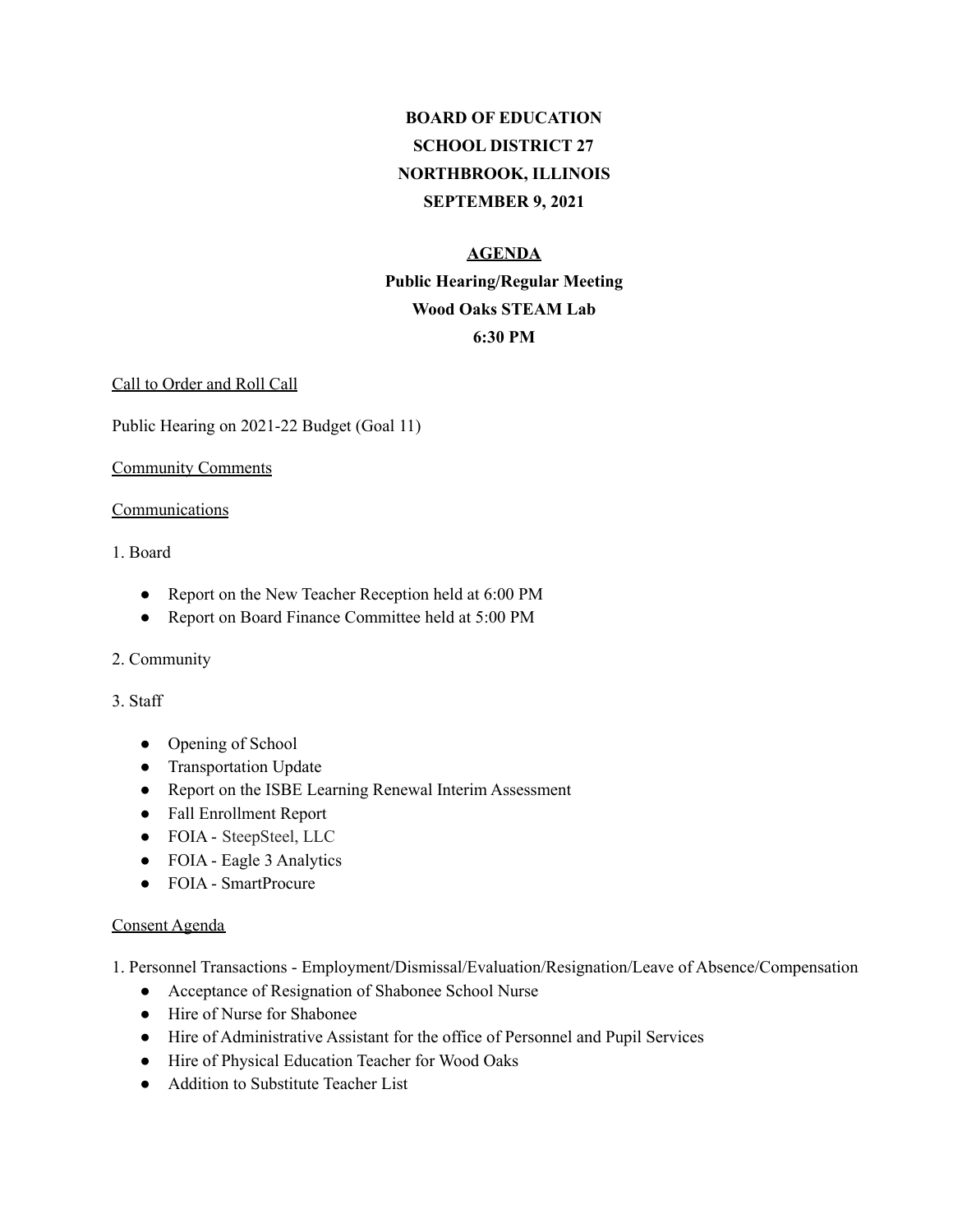# **BOARD OF EDUCATION SCHOOL DISTRICT 27 NORTHBROOK, ILLINOIS SEPTEMBER 9, 2021**

## **AGENDA**

# **Public Hearing/Regular Meeting Wood Oaks STEAM Lab 6:30 PM**

#### Call to Order and Roll Call

Public Hearing on 2021-22 Budget (Goal 11)

#### Community Comments

#### **Communications**

#### 1. Board

- Report on the New Teacher Reception held at 6:00 PM
- Report on Board Finance Committee held at 5:00 PM

#### 2. Community

#### 3. Staff

- Opening of School
- Transportation Update
- Report on the ISBE Learning Renewal Interim Assessment
- Fall Enrollment Report
- FOIA SteepSteel, LLC
- FOIA Eagle 3 Analytics
- FOIA SmartProcure

#### Consent Agenda

1. Personnel Transactions - Employment/Dismissal/Evaluation/Resignation/Leave of Absence/Compensation

- Acceptance of Resignation of Shabonee School Nurse
- Hire of Nurse for Shabonee
- Hire of Administrative Assistant for the office of Personnel and Pupil Services
- Hire of Physical Education Teacher for Wood Oaks
- Addition to Substitute Teacher List